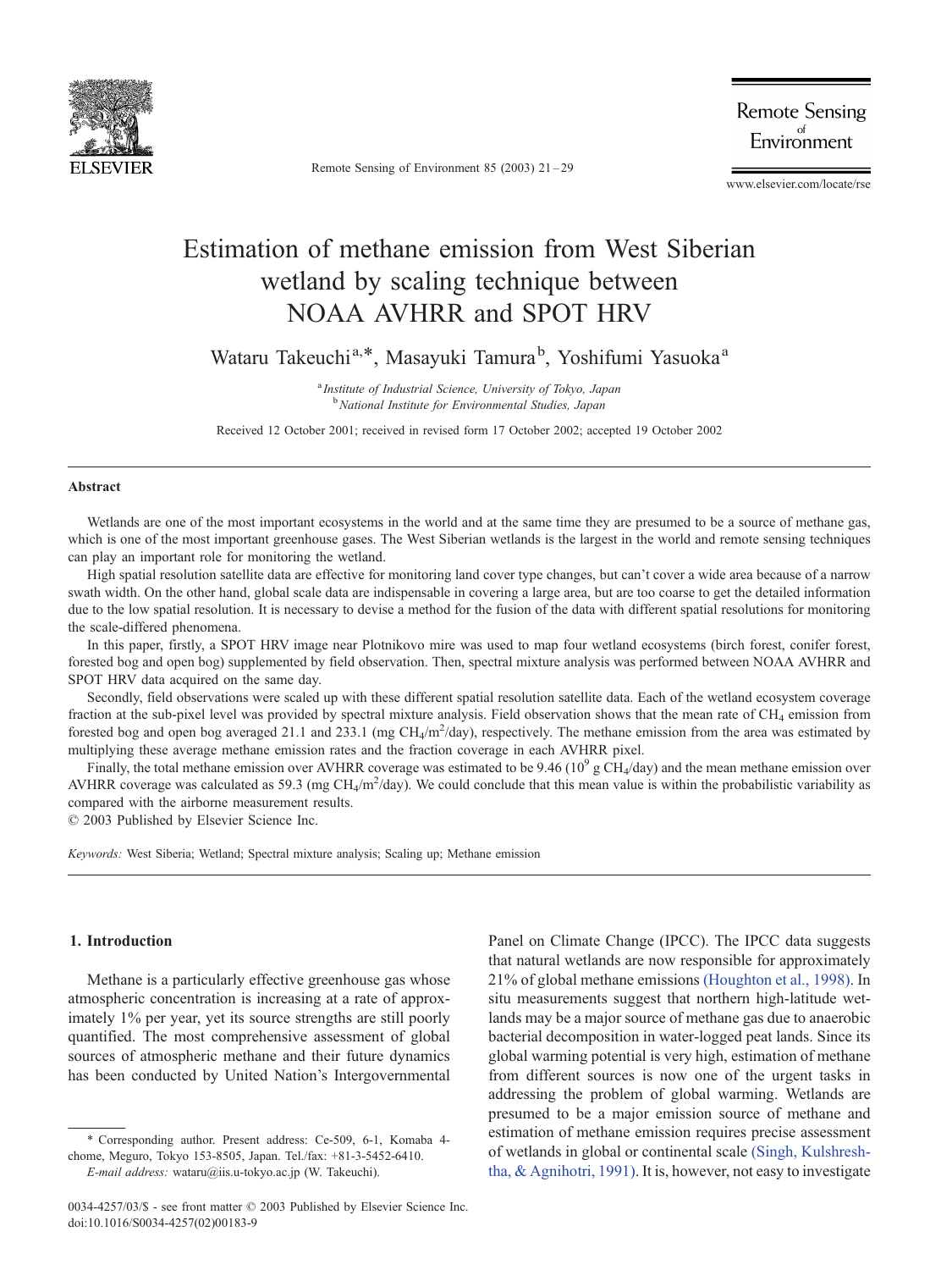

Remote Sensing of Environment 85 (2003) 21 – 29

**Remote Sensing** Environment

www.elsevier.com/locate/rse

# Estimation of methane emission from West Siberian wetland by scaling technique between NOAA AVHRR and SPOT HRV

Wataru Takeuchi<sup>a,\*</sup>, Masayuki Tamura<sup>b</sup>, Yoshifumi Yasuoka<sup>a</sup>

<sup>a</sup> Institute of Industrial Science, University of Tokyo, Japan <sup>b</sup> National Institute for Environmental Studies, Japan

Received 12 October 2001; received in revised form 17 October 2002; accepted 19 October 2002

## Abstract

Wetlands are one of the most important ecosystems in the world and at the same time they are presumed to be a source of methane gas, which is one of the most important greenhouse gases. The West Siberian wetlands is the largest in the world and remote sensing techniques can play an important role for monitoring the wetland.

High spatial resolution satellite data are effective for monitoring land cover type changes, but can't cover a wide area because of a narrow swath width. On the other hand, global scale data are indispensable in covering a large area, but are too coarse to get the detailed information due to the low spatial resolution. It is necessary to devise a method for the fusion of the data with different spatial resolutions for monitoring the scale-differed phenomena.

In this paper, firstly, a SPOT HRV image near Plotnikovo mire was used to map four wetland ecosystems (birch forest, conifer forest, forested bog and open bog) supplemented by field observation. Then, spectral mixture analysis was performed between NOAA AVHRR and SPOT HRV data acquired on the same day.

Secondly, field observations were scaled up with these different spatial resolution satellite data. Each of the wetland ecosystem coverage fraction at the sub-pixel level was provided by spectral mixture analysis. Field observation shows that the mean rate of  $CH_4$  emission from forested bog and open bog averaged 21.1 and 233.1 (mg CH<sub>4</sub>/m<sup>2</sup>/day), respectively. The methane emission from the area was estimated by multiplying these average methane emission rates and the fraction coverage in each AVHRR pixel.

Finally, the total methane emission over AVHRR coverage was estimated to be 9.46 ( $10^9$  g CH<sub>4</sub>/day) and the mean methane emission over AVHRR coverage was calculated as 59.3 (mg CH<sub>4</sub>/m<sup>2</sup>/day). We could conclude that this mean value is within the probabilistic variability as compared with the airborne measurement results.

 $© 2003$  Published by Elsevier Science Inc.

Keywords: West Siberia; Wetland; Spectral mixture analysis; Scaling up; Methane emission

## 1. Introduction

Methane is a particularly effective greenhouse gas whose atmospheric concentration is increasing at a rate of approximately 1% per year, yet its source strengths are still poorly quantified. The most comprehensive assessment of global sources of atmospheric methane and their future dynamics has been conducted by United Nation's Intergovernmental Panel on Climate Change (IPCC). The IPCC data suggests that natural wetlands are now responsible for approximately 21% of global methane emissions [\(Houghton et al., 1998\).](#page-8-0) In situ measurements suggest that northern high-latitude wetlands may be a major source of methane gas due to anaerobic bacterial decomposition in water-logged peat lands. Since its global warming potential is very high, estimation of methane from different sources is now one of the urgent tasks in addressing the problem of global warming. Wetlands are presumed to be a major emission source of methane and estimation of methane emission requires precise assessment of wetlands in global or continental scale [\(Singh, Kulshresh](#page-8-0)tha, & Agnihotri, 1991). It is, however, not easy to investigate

<sup>\*</sup> Corresponding author. Present address: Ce-509, 6-1, Komaba 4 chome, Meguro, Tokyo 153-8505, Japan. Tel./fax: +81-3-5452-6410. E-mail address: wataru@iis.u-tokyo.ac.jp (W. Takeuchi).

<sup>0034-4257/03/\$ -</sup> see front matter © 2003 Published by Elsevier Science Inc. doi:10.1016/S0034-4257(02)00183-9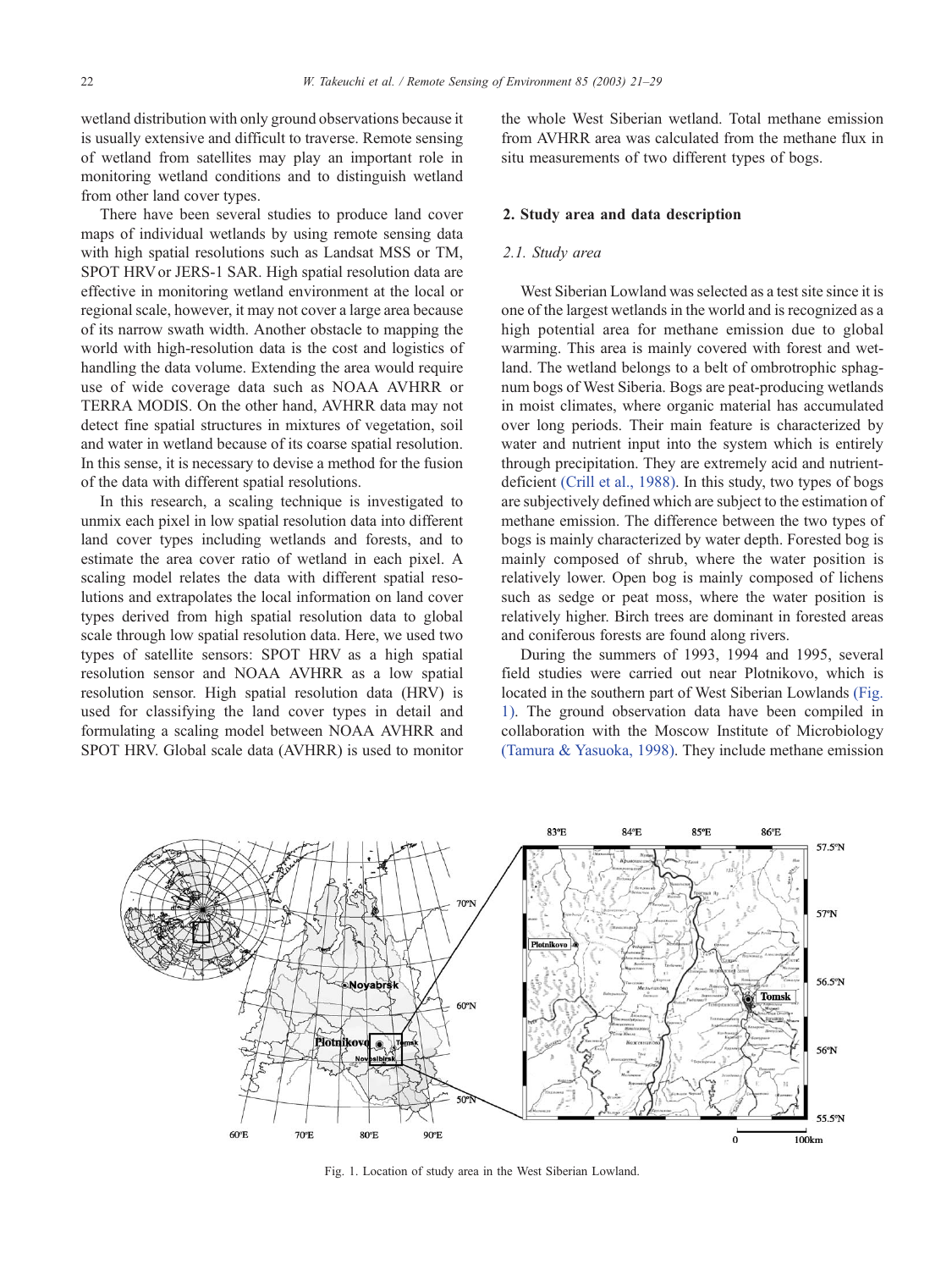wetland distribution with only ground observations because it is usually extensive and difficult to traverse. Remote sensing of wetland from satellites may play an important role in monitoring wetland conditions and to distinguish wetland from other land cover types.

There have been several studies to produce land cover maps of individual wetlands by using remote sensing data with high spatial resolutions such as Landsat MSS or TM, SPOT HRV or JERS-1 SAR. High spatial resolution data are effective in monitoring wetland environment at the local or regional scale, however, it may not cover a large area because of its narrow swath width. Another obstacle to mapping the world with high-resolution data is the cost and logistics of handling the data volume. Extending the area would require use of wide coverage data such as NOAA AVHRR or TERRA MODIS. On the other hand, AVHRR data may not detect fine spatial structures in mixtures of vegetation, soil and water in wetland because of its coarse spatial resolution. In this sense, it is necessary to devise a method for the fusion of the data with different spatial resolutions.

In this research, a scaling technique is investigated to unmix each pixel in low spatial resolution data into different land cover types including wetlands and forests, and to estimate the area cover ratio of wetland in each pixel. A scaling model relates the data with different spatial resolutions and extrapolates the local information on land cover types derived from high spatial resolution data to global scale through low spatial resolution data. Here, we used two types of satellite sensors: SPOT HRV as a high spatial resolution sensor and NOAA AVHRR as a low spatial resolution sensor. High spatial resolution data (HRV) is used for classifying the land cover types in detail and formulating a scaling model between NOAA AVHRR and SPOT HRV. Global scale data (AVHRR) is used to monitor the whole West Siberian wetland. Total methane emission from AVHRR area was calculated from the methane flux in situ measurements of two different types of bogs.

## 2. Study area and data description

## 2.1. Study area

West Siberian Lowland was selected as a test site since it is one of the largest wetlands in the world and is recognized as a high potential area for methane emission due to global warming. This area is mainly covered with forest and wetland. The wetland belongs to a belt of ombrotrophic sphagnum bogs of West Siberia. Bogs are peat-producing wetlands in moist climates, where organic material has accumulated over long periods. Their main feature is characterized by water and nutrient input into the system which is entirely through precipitation. They are extremely acid and nutrientdeficient [\(Crill et al., 1988\).](#page-8-0) In this study, two types of bogs are subjectively defined which are subject to the estimation of methane emission. The difference between the two types of bogs is mainly characterized by water depth. Forested bog is mainly composed of shrub, where the water position is relatively lower. Open bog is mainly composed of lichens such as sedge or peat moss, where the water position is relatively higher. Birch trees are dominant in forested areas and coniferous forests are found along rivers.

During the summers of 1993, 1994 and 1995, several field studies were carried out near Plotnikovo, which is located in the southern part of West Siberian Lowlands (Fig. 1). The ground observation data have been compiled in collaboration with the Moscow Institute of Microbiology [\(Tamura & Yasuoka, 1998\).](#page-8-0) They include methane emission



Fig. 1. Location of study area in the West Siberian Lowland.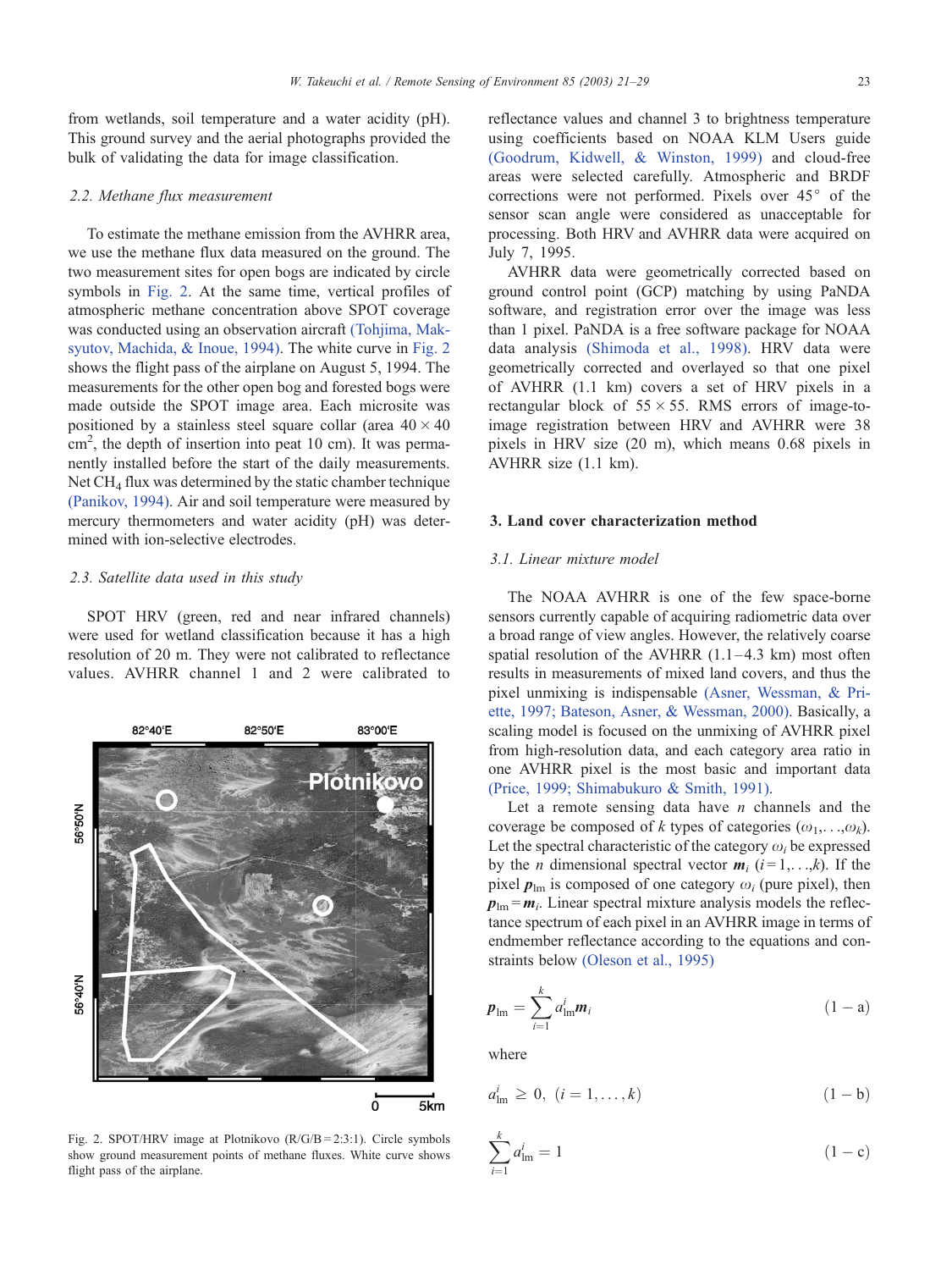from wetlands, soil temperature and a water acidity (pH). This ground survey and the aerial photographs provided the bulk of validating the data for image classification.

#### 2.2. Methane flux measurement

To estimate the methane emission from the AVHRR area, we use the methane flux data measured on the ground. The two measurement sites for open bogs are indicated by circle symbols in Fig. 2. At the same time, vertical profiles of atmospheric methane concentration above SPOT coverage was conducted using an observation aircraft [\(Tohjima, Mak](#page-8-0)syutov, Machida, & Inoue, 1994). The white curve in Fig. 2 shows the flight pass of the airplane on August 5, 1994. The measurements for the other open bog and forested bogs were made outside the SPOT image area. Each microsite was positioned by a stainless steel square collar (area  $40 \times 40$ cm<sup>2</sup>, the depth of insertion into peat 10 cm). It was permanently installed before the start of the daily measurements. Net  $CH<sub>4</sub>$  flux was determined by the static chamber technique [\(Panikov, 1994\).](#page-8-0) Air and soil temperature were measured by mercury thermometers and water acidity (pH) was determined with ion-selective electrodes.

#### 2.3. Satellite data used in this study

SPOT HRV (green, red and near infrared channels) were used for wetland classification because it has a high resolution of 20 m. They were not calibrated to reflectance values. AVHRR channel 1 and 2 were calibrated to



flight pass of the airplane.

reflectance values and channel 3 to brightness temperature using coefficients based on NOAA KLM Users guide [\(Goodrum, Kidwell, & Winston, 1999\)](#page-8-0) and cloud-free areas were selected carefully. Atmospheric and BRDF corrections were not performed. Pixels over  $45^{\circ}$  of the sensor scan angle were considered as unacceptable for processing. Both HRV and AVHRR data were acquired on July 7, 1995.

AVHRR data were geometrically corrected based on ground control point (GCP) matching by using PaNDA software, and registration error over the image was less than 1 pixel. PaNDA is a free software package for NOAA data analysis [\(Shimoda et al., 1998\).](#page-8-0) HRV data were geometrically corrected and overlayed so that one pixel of AVHRR (1.1 km) covers a set of HRV pixels in a rectangular block of  $55 \times 55$ . RMS errors of image-toimage registration between HRV and AVHRR were 38 pixels in HRV size (20 m), which means 0.68 pixels in AVHRR size (1.1 km).

#### 3. Land cover characterization method

## 3.1. Linear mixture model

The NOAA AVHRR is one of the few space-borne sensors currently capable of acquiring radiometric data over a broad range of view angles. However, the relatively coarse spatial resolution of the AVHRR  $(1.1-4.3 \text{ km})$  most often results in measurements of mixed land covers, and thus the pixel unmixing is indispensable [\(Asner, Wessman, & Pri](#page-8-0)ette, 1997; Bateson, Asner, & Wessman, 2000). Basically, a scaling model is focused on the unmixing of AVHRR pixel from high-resolution data, and each category area ratio in one AVHRR pixel is the most basic and important data [\(Price, 1999; Shimabukuro & Smith, 1991\).](#page-8-0)

Let a remote sensing data have  $n$  channels and the coverage be composed of k types of categories  $(\omega_1, \ldots, \omega_k)$ . Let the spectral characteristic of the category  $\omega_i$  be expressed by the *n* dimensional spectral vector  $m_i$  ( $i = 1, \ldots, k$ ). If the pixel  $p_{lm}$  is composed of one category  $\omega_i$  (pure pixel), then  $p_{lm} = m_i$ . Linear spectral mixture analysis models the reflectance spectrum of each pixel in an AVHRR image in terms of endmember reflectance according to the equations and constraints below [\(Oleson et al., 1995\)](#page-8-0)

$$
\boldsymbol{p}_{\text{lm}} = \sum_{i=1}^{k} a_{\text{lm}}^{i} \boldsymbol{m}_{i}
$$
 (1 - a)

where

$$
a_{\text{lm}}^i \ge 0, \ (i = 1, ..., k) \tag{1-b}
$$

Fig. 2. SPOT/HRV image at Plotnikovo (R/G/B = 2:3:1). Circle symbols show ground measurement points of methane fluxes. White curve shows flight pass of the airplane. 
$$
\sum_{i=1}^{k} a_{\text{Im}}^{i} = 1
$$
 (1 - c)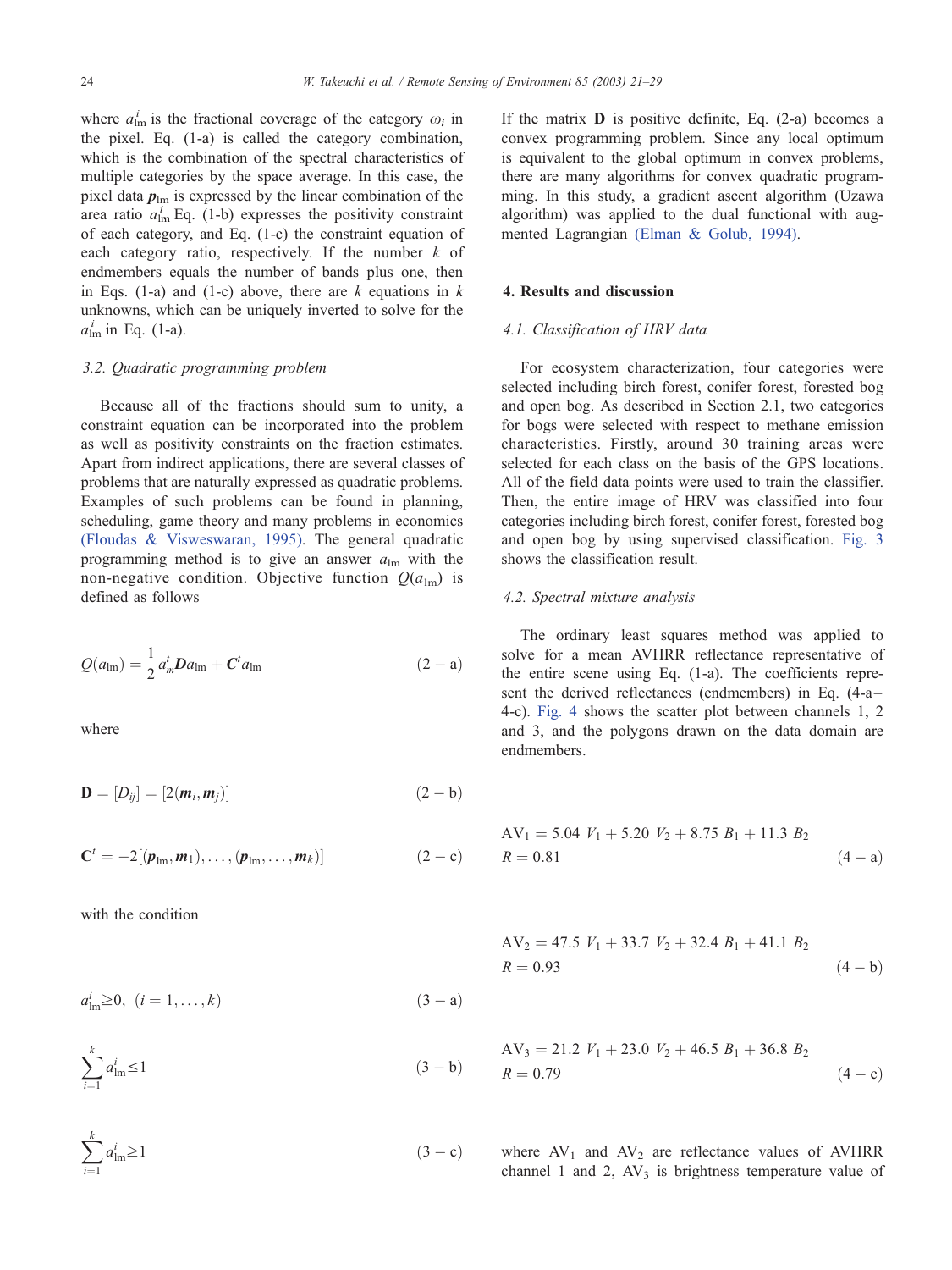where  $a_{\text{lm}}^i$  is the fractional coverage of the category  $\omega_i$  in the pixel. Eq. (1-a) is called the category combination, which is the combination of the spectral characteristics of multiple categories by the space average. In this case, the pixel data  $p_{lm}$  is expressed by the linear combination of the area ratio  $a_{lm}^i$  Eq. (1-b) expresses the positivity constraint of each category, and Eq. (1-c) the constraint equation of each category ratio, respectively. If the number  $k$  of endmembers equals the number of bands plus one, then in Eqs. (1-a) and (1-c) above, there are k equations in  $k$ unknowns, which can be uniquely inverted to solve for the  $a_{\text{lm}}^i$  in Eq. (1-a).

## 3.2. Quadratic programming problem

Because all of the fractions should sum to unity, a constraint equation can be incorporated into the problem as well as positivity constraints on the fraction estimates. Apart from indirect applications, there are several classes of problems that are naturally expressed as quadratic problems. Examples of such problems can be found in planning, scheduling, game theory and many problems in economics [\(Floudas & Visweswaran, 1995\).](#page-8-0) The general quadratic programming method is to give an answer  $a_{lm}$  with the non-negative condition. Objective function  $Q(a_{lm})$  is defined as follows

$$
Q(a_{\text{lm}}) = \frac{1}{2} a_m^t D a_{\text{lm}} + C^t a_{\text{lm}} \tag{2-a}
$$

where

$$
\mathbf{D} = [D_{ij}] = [2(\mathbf{m}_i, \mathbf{m}_j)] \tag{2-b}
$$

$$
\mathbf{C}^t = -2[(\boldsymbol{p}_{lm}, \boldsymbol{m}_1), \dots, (\boldsymbol{p}_{lm}, \dots, \boldsymbol{m}_k)] \qquad (2-c)
$$

with the condition

$$
a_{\text{lm}}^i \ge 0, \ (i = 1, \dots, k) \tag{3 - a}
$$

$$
\sum_{i=1}^{k} a_{\text{Im}}^{i} \le 1 \tag{3-b}
$$

 $\sum_{i=1}^{k} a_i^i$  $i=1$  $(3 - c)$  If the matrix  $\bf{D}$  is positive definite, Eq. (2-a) becomes a convex programming problem. Since any local optimum is equivalent to the global optimum in convex problems, there are many algorithms for convex quadratic programming. In this study, a gradient ascent algorithm (Uzawa algorithm) was applied to the dual functional with augmented Lagrangian [\(Elman & Golub, 1994\).](#page-8-0)

#### 4. Results and discussion

#### 4.1. Classification of HRV data

For ecosystem characterization, four categories were selected including birch forest, conifer forest, forested bog and open bog. As described in Section 2.1, two categories for bogs were selected with respect to methane emission characteristics. Firstly, around 30 training areas were selected for each class on the basis of the GPS locations. All of the field data points were used to train the classifier. Then, the entire image of HRV was classified into four categories including birch forest, conifer forest, forested bog and open bog by using supervised classification. [Fig. 3](#page-4-0) shows the classification result.

## 4.2. Spectral mixture analysis

The ordinary least squares method was applied to solve for a mean AVHRR reflectance representative of the entire scene using Eq. (1-a). The coefficients represent the derived reflectances (endmembers) in Eq. (4-a-4-c). [Fig. 4](#page-4-0) shows the scatter plot between channels 1, 2 and 3, and the polygons drawn on the data domain are endmembers.

$$
AV1 = 5.04 V1 + 5.20 V2 + 8.75 B1 + 11.3 B2
$$
  
R = 0.81 (4 - a)

$$
AV_2 = 47.5 V_1 + 33.7 V_2 + 32.4 B_1 + 41.1 B_2
$$
  
R = 0.93 (4 - b)

$$
f_{\rm{max}}
$$

$$
AV_3 = 21.2 V_1 + 23.0 V_2 + 46.5 B_1 + 36.8 B_2
$$
  

$$
R = 0.79
$$
 (4 - c)

where  $AV_1$  and  $AV_2$  are reflectance values of AVHRR channel 1 and 2,  $AV_3$  is brightness temperature value of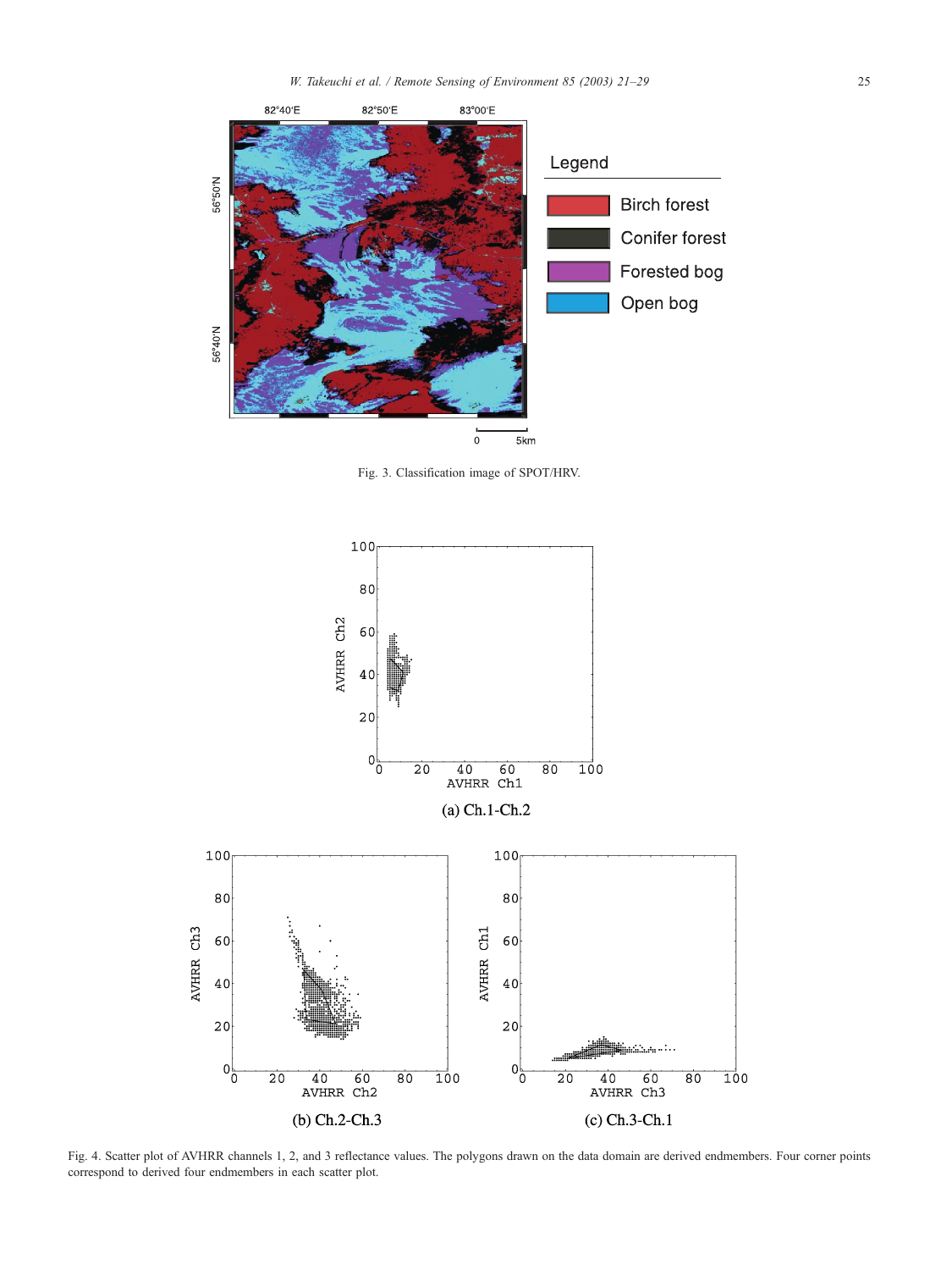<span id="page-4-0"></span>

Fig. 3. Classification image of SPOT/HRV.



Fig. 4. Scatter plot of AVHRR channels 1, 2, and 3 reflectance values. The polygons drawn on the data domain are derived endmembers. Four corner points correspond to derived four endmembers in each scatter plot.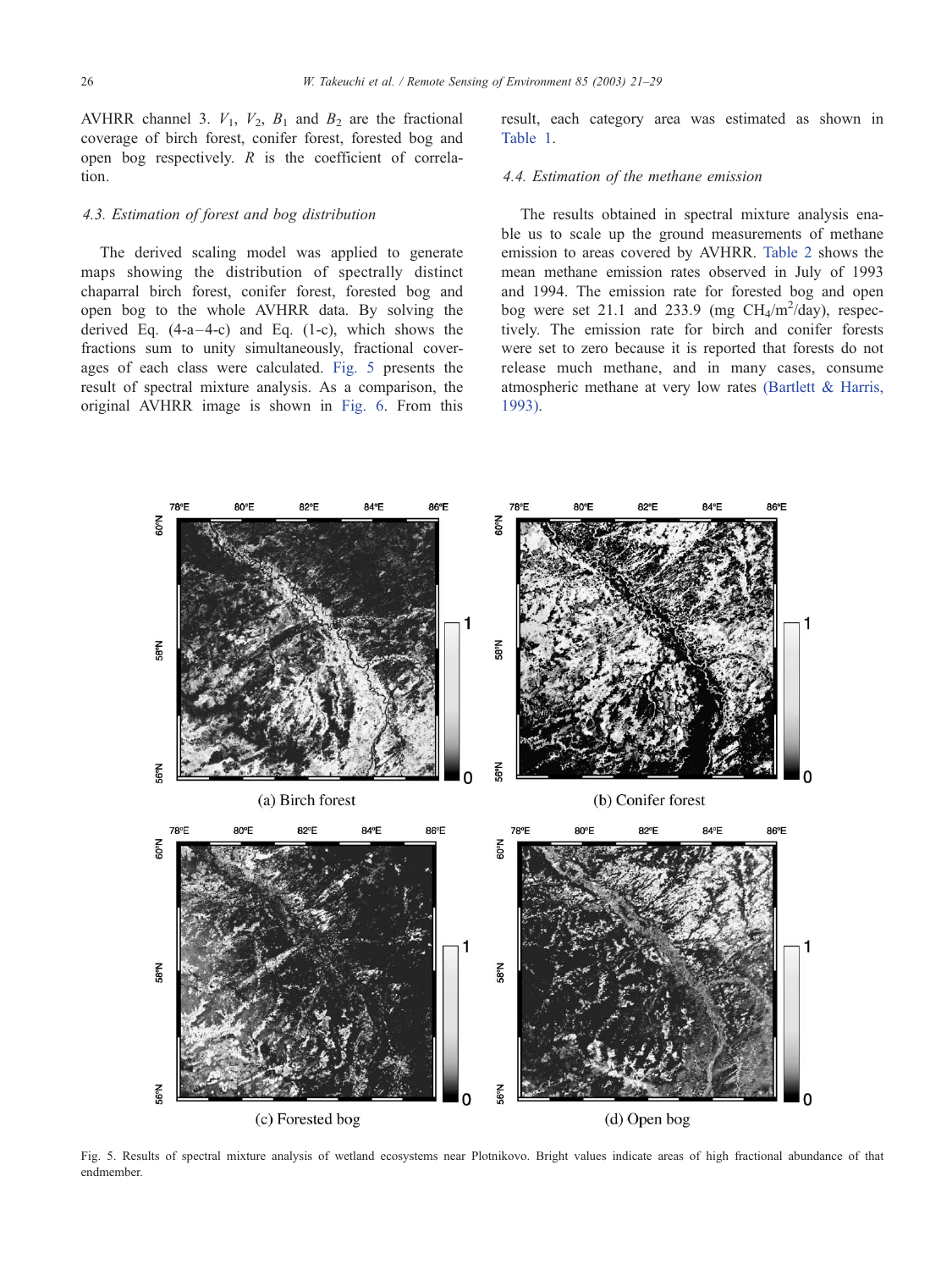AVHRR channel 3.  $V_1$ ,  $V_2$ ,  $B_1$  and  $B_2$  are the fractional coverage of birch forest, conifer forest, forested bog and open bog respectively.  $R$  is the coefficient of correlation.

## 4.3. Estimation of forest and bog distribution

The derived scaling model was applied to generate maps showing the distribution of spectrally distinct chaparral birch forest, conifer forest, forested bog and open bog to the whole AVHRR data. By solving the derived Eq.  $(4-a-4-c)$  and Eq.  $(1-c)$ , which shows the fractions sum to unity simultaneously, fractional coverages of each class were calculated. Fig. 5 presents the result of spectral mixture analysis. As a comparison, the original AVHRR image is shown in [Fig. 6.](#page-6-0) From this

result, each category area was estimated as shown in [Table 1.](#page-6-0)

#### 4.4. Estimation of the methane emission

The results obtained in spectral mixture analysis enable us to scale up the ground measurements of methane emission to areas covered by AVHRR. [Table 2](#page-6-0) shows the mean methane emission rates observed in July of 1993 and 1994. The emission rate for forested bog and open bog were set 21.1 and 233.9 (mg  $CH_4/m^2/day$ ), respectively. The emission rate for birch and conifer forests were set to zero because it is reported that forests do not release much methane, and in many cases, consume atmospheric methane at very low rates [\(Bartlett & Harris,](#page-8-0) 1993).



Fig. 5. Results of spectral mixture analysis of wetland ecosystems near Plotnikovo. Bright values indicate areas of high fractional abundance of that endmember.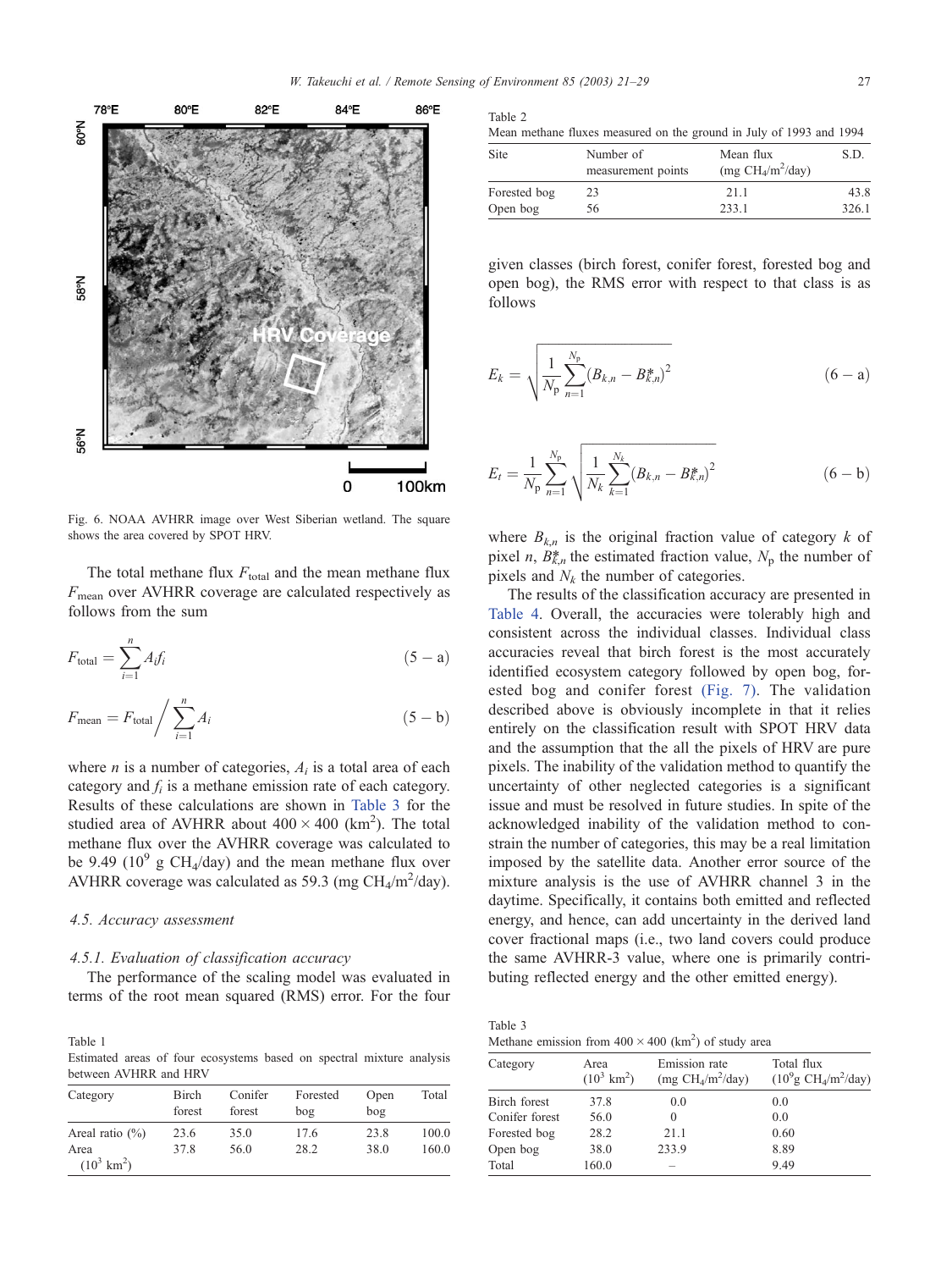<span id="page-6-0"></span>

Fig. 6. NOAA AVHRR image over West Siberian wetland. The square shows the area covered by SPOT HRV.

The total methane flux  $F_{total}$  and the mean methane flux  $F_{\text{mean}}$  over AVHRR coverage are calculated respectively as follows from the sum

$$
F_{\text{total}} = \sum_{i=1}^{n} A_i f_i \tag{5-a}
$$

$$
F_{\text{mean}} = F_{\text{total}} / \sum_{i=1}^{n} A_i
$$
 (5 - b)

where *n* is a number of categories,  $A_i$  is a total area of each category and  $f_i$  is a methane emission rate of each category. Results of these calculations are shown in Table 3 for the studied area of AVHRR about  $400 \times 400$  (km<sup>2</sup>). The total methane flux over the AVHRR coverage was calculated to be 9.49 ( $10^9$  g CH<sub>4</sub>/day) and the mean methane flux over AVHRR coverage was calculated as 59.3 (mg  $CH_4/m^2$ /day).

## 4.5. Accuracy assessment

## 4.5.1. Evaluation of classification accuracy

The performance of the scaling model was evaluated in terms of the root mean squared (RMS) error. For the four

Table 1 Estimated areas of four ecosystems based on spectral mixture analysis between AVHRR and HRV

| Category                      | Birch<br>forest | Conifer<br>forest | Forested<br>bog | Open<br>bog | Total |  |  |
|-------------------------------|-----------------|-------------------|-----------------|-------------|-------|--|--|
| Areal ratio $(\%)$            | 23.6            | 35.0              | 17.6            | 23.8        | 100.0 |  |  |
| Area<br>$(10^3 \text{ km}^2)$ | 37.8            | 56.0              | 28.2            | 38.0        | 160.0 |  |  |

| . | $\sim$<br>v |  |
|---|-------------|--|
|   |             |  |

|  | Mean methane fluxes measured on the ground in July of 1993 and 1994 |  |  |  |  |  |
|--|---------------------------------------------------------------------|--|--|--|--|--|
|  |                                                                     |  |  |  |  |  |

| Site         | Number of<br>measurement points | Mean flux<br>(mg $CH_4/m^2/day$ ) | S.D.  |
|--------------|---------------------------------|-----------------------------------|-------|
| Forested bog | 23                              | 21.1                              | 43.8  |
| Open bog     | 56                              | 233.1                             | 326.1 |

given classes (birch forest, conifer forest, forested bog and open bog), the RMS error with respect to that class is as follows

$$
E_k = \sqrt{\frac{1}{N_p} \sum_{n=1}^{N_p} (B_{k,n} - B_{k,n}^*)^2}
$$
 (6 - a)

$$
E_t = \frac{1}{N_p} \sum_{n=1}^{N_p} \sqrt{\frac{1}{N_k} \sum_{k=1}^{N_k} (B_{k,n} - B_{k,n}^*)^2}
$$
 (6 - b)

where  $B_{k,n}$  is the original fraction value of category k of pixel *n*,  $B_{k,n}^*$  the estimated fraction value,  $N_p$  the number of pixels and  $N_k$  the number of categories.

The results of the classification accuracy are presented in [Table 4.](#page-7-0) Overall, the accuracies were tolerably high and consistent across the individual classes. Individual class accuracies reveal that birch forest is the most accurately identified ecosystem category followed by open bog, forested bog and conifer forest [\(Fig. 7\).](#page-7-0) The validation described above is obviously incomplete in that it relies entirely on the classification result with SPOT HRV data and the assumption that the all the pixels of HRV are pure pixels. The inability of the validation method to quantify the uncertainty of other neglected categories is a significant issue and must be resolved in future studies. In spite of the acknowledged inability of the validation method to constrain the number of categories, this may be a real limitation imposed by the satellite data. Another error source of the mixture analysis is the use of AVHRR channel 3 in the daytime. Specifically, it contains both emitted and reflected energy, and hence, can add uncertainty in the derived land cover fractional maps (i.e., two land covers could produce the same AVHRR-3 value, where one is primarily contributing reflected energy and the other emitted energy).

Table 3 Methane emission from  $400 \times 400$  (km<sup>2</sup>) of study area

| Category       | Area<br>$(10^3 \text{ km}^2)$ | Emission rate<br>(mg $CH_4/m^2/day$ ) | Total flux<br>$(10^9$ g CH <sub>4</sub> /m <sup>2</sup> /day) |  |  |
|----------------|-------------------------------|---------------------------------------|---------------------------------------------------------------|--|--|
| Birch forest   | 37.8                          | 0.0                                   | 0.0                                                           |  |  |
| Conifer forest | 56.0                          | $\theta$                              | 0.0                                                           |  |  |
| Forested bog   | 28.2                          | 21.1                                  | 0.60                                                          |  |  |
| Open bog       | 38.0                          | 233.9                                 | 8.89                                                          |  |  |
| Total          | 160.0                         | $\overline{\phantom{a}}$              | 9.49                                                          |  |  |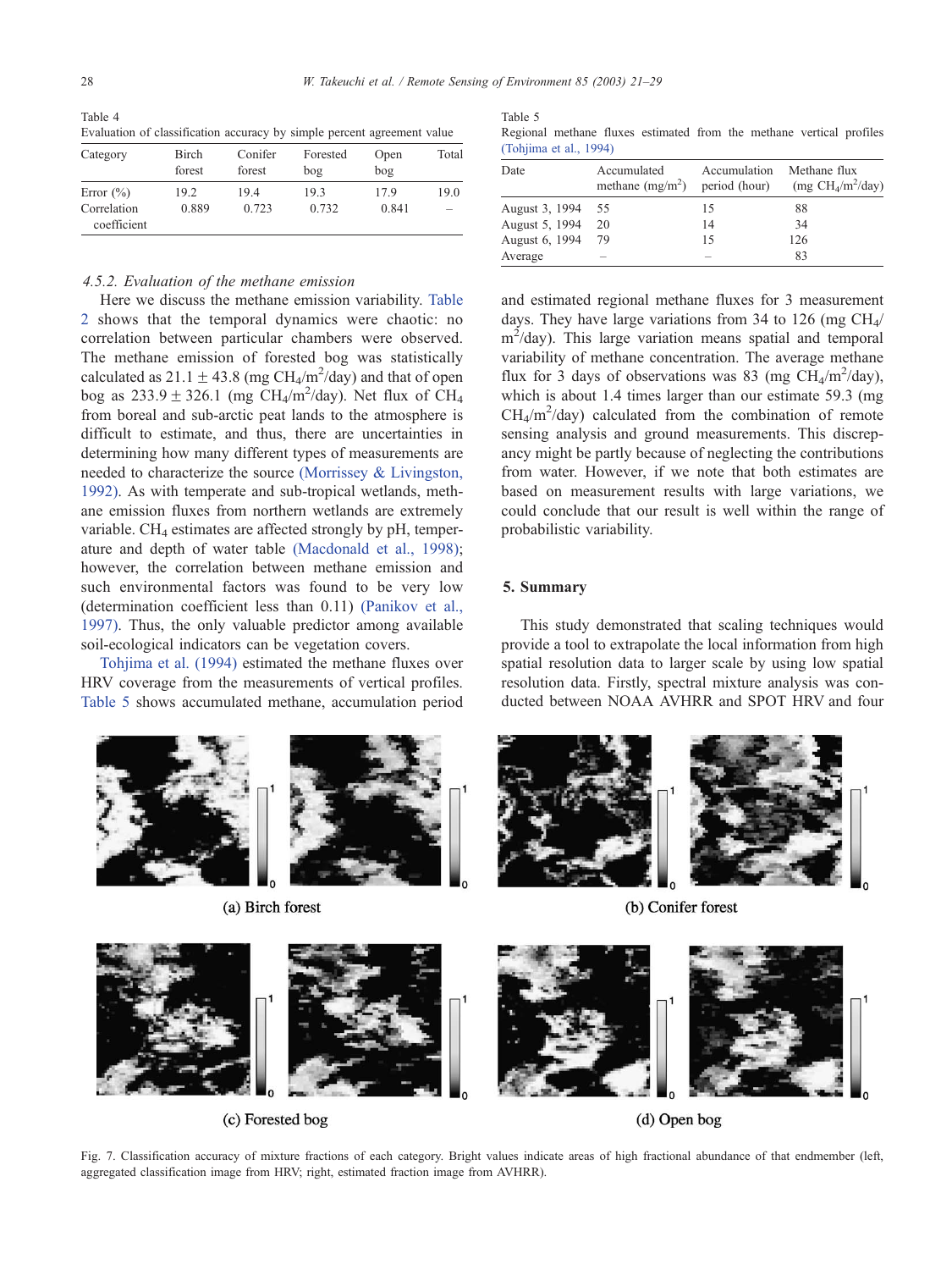<span id="page-7-0"></span>Table 4 Evaluation of classification accuracy by simple percent agreement value

| Category                                   | Birch<br>forest | Conifer<br>forest | Forested<br>bog | Open<br>bog   | Total                            |
|--------------------------------------------|-----------------|-------------------|-----------------|---------------|----------------------------------|
| Error $(\%)$<br>Correlation<br>coefficient | 19.2<br>0.889   | 19.4<br>0.723     | 19.3<br>0.732   | 17.9<br>0.841 | 19.0<br>$\overline{\phantom{a}}$ |

## 4.5.2. Evaluation of the methane emission

Here we discuss the methane emission variability. [Table](#page-6-0) 2 shows that the temporal dynamics were chaotic: no correlation between particular chambers were observed. The methane emission of forested bog was statistically calculated as  $21.1 \pm 43.8$  (mg CH<sub>4</sub>/m<sup>2</sup>/day) and that of open bog as  $233.9 \pm 326.1$  (mg CH<sub>4</sub>/m<sup>2</sup>/day). Net flux of CH<sub>4</sub> from boreal and sub-arctic peat lands to the atmosphere is difficult to estimate, and thus, there are uncertainties in determining how many different types of measurements are needed to characterize the source [\(Morrissey & Livingston,](#page-8-0) 1992). As with temperate and sub-tropical wetlands, methane emission fluxes from northern wetlands are extremely variable.  $CH<sub>4</sub>$  estimates are affected strongly by pH, temperature and depth of water table [\(Macdonald et al., 1998\);](#page-8-0) however, the correlation between methane emission and such environmental factors was found to be very low (determination coefficient less than 0.11) [\(Panikov et al.,](#page-8-0) 1997). Thus, the only valuable predictor among available soil-ecological indicators can be vegetation covers.

[Tohjima et al. \(1994\)](#page-8-0) estimated the methane fluxes over HRV coverage from the measurements of vertical profiles. Table 5 shows accumulated methane, accumulation period

(a) Birch forest



[Regional methane fluxes estimated from the methane vertical profiles](#page-8-0) (Tohjima et al., 1994)

| Date           | Accumulated<br>methane $(mg/m2)$ | Accumulation<br>period (hour) | Methane flux<br>(mg $CH_4/m^2/day$ ) |
|----------------|----------------------------------|-------------------------------|--------------------------------------|
| August 3, 1994 | -55                              | 15                            | 88                                   |
| August 5, 1994 | 20                               | 14                            | 34                                   |
| August 6, 1994 | 79                               | 15                            | 126                                  |
| Average        | $\overline{\phantom{a}}$         | $\overline{\phantom{a}}$      | 83                                   |

and estimated regional methane fluxes for 3 measurement days. They have large variations from 34 to 126 (mg  $CH<sub>4</sub>/$  $m^2$ /day). This large variation means spatial and temporal variability of methane concentration. The average methane flux for 3 days of observations was 83 (mg  $CH<sub>4</sub>/m<sup>2</sup>/day)$ , which is about 1.4 times larger than our estimate 59.3 (mg  $CH_4/m^2$ /day) calculated from the combination of remote sensing analysis and ground measurements. This discrepancy might be partly because of neglecting the contributions from water. However, if we note that both estimates are based on measurement results with large variations, we could conclude that our result is well within the range of probabilistic variability.

#### 5. Summary

This study demonstrated that scaling techniques would provide a tool to extrapolate the local information from high spatial resolution data to larger scale by using low spatial resolution data. Firstly, spectral mixture analysis was conducted between NOAA AVHRR and SPOT HRV and four



(b) Conifer forest



(c) Forested bog

(d) Open bog

Fig. 7. Classification accuracy of mixture fractions of each category. Bright values indicate areas of high fractional abundance of that endmember (left, aggregated classification image from HRV; right, estimated fraction image from AVHRR).